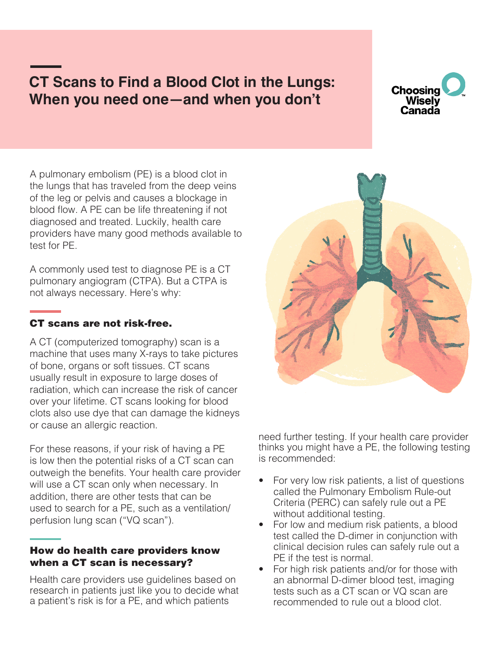# **CT Scans to Find a Blood Clot in the Lungs: When you need one—and when you don't**



A pulmonary embolism (PE) is a blood clot in the lungs that has traveled from the deep veins of the leg or pelvis and causes a blockage in blood flow. A PE can be life threatening if not diagnosed and treated. Luckily, health care providers have many good methods available to test for PE.

A commonly used test to diagnose PE is a CT pulmonary angiogram (CTPA). But a CTPA is not always necessary. Here's why:

# CT scans are not risk-free.

A CT (computerized tomography) scan is a machine that uses many X-rays to take pictures of bone, organs or soft tissues. CT scans usually result in exposure to large doses of radiation, which can increase the risk of cancer over your lifetime. CT scans looking for blood clots also use dye that can damage the kidneys or cause an allergic reaction.

For these reasons, if your risk of having a PE is low then the potential risks of a CT scan can outweigh the benefits. Your health care provider will use a CT scan only when necessary. In addition, there are other tests that can be used to search for a PE, such as a ventilation/ perfusion lung scan ("VQ scan").

## How do health care providers know when a CT scan is necessary?

Health care providers use guidelines based on research in patients just like you to decide what a patient's risk is for a PE, and which patients



need further testing. If your health care provider thinks you might have a PE, the following testing is recommended:

- For very low risk patients, a list of questions called the Pulmonary Embolism Rule-out Criteria (PERC) can safely rule out a PE without additional testing.
- For low and medium risk patients, a blood test called the D-dimer in conjunction with clinical decision rules can safely rule out a PE if the test is normal.
- For high risk patients and/or for those with an abnormal D-dimer blood test, imaging tests such as a CT scan or VQ scan are recommended to rule out a blood clot.